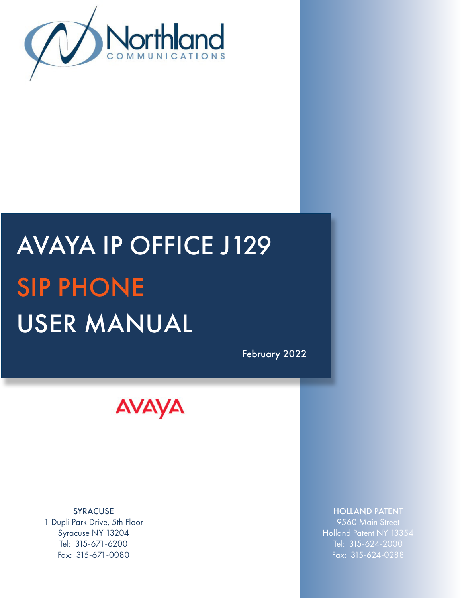

# AVAYA IP OFFICE J129 SIP PHONE USER MANUAL

February 2022



SYRACUSE 1 Dupli Park Drive, 5th Floor Syracuse NY 13204 Tel: 315-671-6200 Fax: 315-671-0080

# HOLLAND PATENT

9560 Main Street Holland Patent NY 13354 Tel: 315-624-2000 Fax: 315-624-0288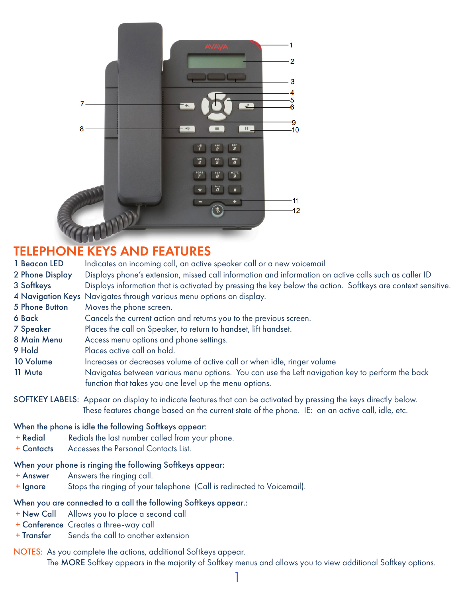

# TELEPHONE KEYS AND FEATURES

| 1 Beacon LED     | Indicates an incoming call, an active speaker call or a new voicemail                                                                                                                                                 |  |
|------------------|-----------------------------------------------------------------------------------------------------------------------------------------------------------------------------------------------------------------------|--|
| 2 Phone Display  | Displays phone's extension, missed call information and information on active calls such as caller ID                                                                                                                 |  |
| 3 Softkeys       | Displays information that is activated by pressing the key below the action. Softkeys are context sensitive.                                                                                                          |  |
|                  | 4 Navigation Keys Navigates through various menu options on display.                                                                                                                                                  |  |
| 5 Phone Button   | Moves the phone screen.                                                                                                                                                                                               |  |
| 6 Back           | Cancels the current action and returns you to the previous screen.                                                                                                                                                    |  |
| <b>7 Speaker</b> | Places the call on Speaker, to return to handset, lift handset.                                                                                                                                                       |  |
| 8 Main Menu      | Access menu options and phone settings.                                                                                                                                                                               |  |
| 9 Hold           | Places active call on hold.                                                                                                                                                                                           |  |
| 10 Volume        | Increases or decreases volume of active call or when idle, ringer volume                                                                                                                                              |  |
| 11 Mute          | Navigates between various menu options. You can use the Left navigation key to perform the back<br>function that takes you one level up the menu options.                                                             |  |
|                  | SOFTKEY LABELS: Appear on display to indicate features that can be activated by pressing the keys directly below.<br>These features change based on the current state of the phone. IE: on an active call, idle, etc. |  |
|                  | When the phone is idle the following Softkeys appear:                                                                                                                                                                 |  |

- + Redial Redials the last number called from your phone.
- + Contacts Accesses the Personal Contacts List.

#### When your phone is ringing the following Softkeys appear:

- + Answer Answers the ringing call.
- + Ignore Stops the ringing of your telephone (Call is redirected to Voicemail).

# When you are connected to a call the following Softkeys appear.:

- + New Call Allows you to place a second call
- + Conference Creates a three-way call
- + Transfer Sends the call to another extension
- NOTES: As you complete the actions, additional Softkeys appear. The MORE Softkey appears in the majority of Softkey menus and allows you to view additional Softkey options.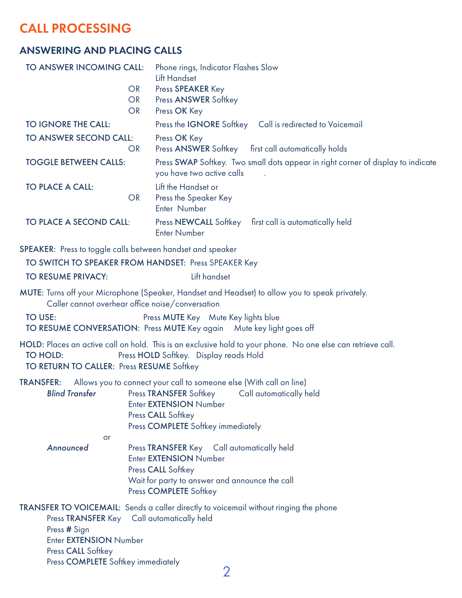# CALL PROCESSING

# ANSWERING AND PLACING CALLS

| TO ANSWER INCOMING CALL:<br><b>OR</b><br><b>OR</b><br><b>OR</b> | Phone rings, Indicator Flashes Slow<br><b>Lift Handset</b><br>Press SPEAKER Key<br><b>Press ANSWER Softkey</b><br>Press OK Key                                                                                 |
|-----------------------------------------------------------------|----------------------------------------------------------------------------------------------------------------------------------------------------------------------------------------------------------------|
| <b>TO IGNORE THE CALL:</b>                                      | Press the <b>IGNORE</b> Softkey Call is redirected to Voicemail                                                                                                                                                |
| TO ANSWER SECOND CALL:<br><b>OR</b>                             | Press OK Key<br>Press ANSWER Softkey first call automatically holds                                                                                                                                            |
| <b>TOGGLE BETWEEN CALLS:</b>                                    | Press SWAP Softkey. Two small dots appear in right corner of display to indicate<br>you have two active calls                                                                                                  |
| <b>TO PLACE A CALL:</b><br><b>OR</b>                            | Lift the Handset or<br>Press the Speaker Key<br>Enter Number                                                                                                                                                   |
| TO PLACE A SECOND CALL:                                         | Press NEWCALL Softkey first call is automatically held<br><b>Enter Number</b>                                                                                                                                  |
| SPEAKER: Press to toggle calls between handset and speaker      |                                                                                                                                                                                                                |
|                                                                 | TO SWITCH TO SPEAKER FROM HANDSET: Press SPEAKER Key                                                                                                                                                           |
| TO RESUME PRIVACY:                                              | Lift handset                                                                                                                                                                                                   |
| Caller cannot overhear office noise/conversation                | MUTE: Turns off your Microphone (Speaker, Handset and Headset) to allow you to speak privately.                                                                                                                |
| <b>TO USE:</b>                                                  | Press MUTE Key Mute Key lights blue<br>TO RESUME CONVERSATION: Press MUTE Key again Mute key light goes off                                                                                                    |
| TO HOLD:<br>TO RETURN TO CALLER: Press RESUME Softkey           | HOLD: Places an active call on hold. This is an exclusive hold to your phone. No one else can retrieve call.<br>Press HOLD Softkey. Display reads Hold                                                         |
| <b>TRANSFER:</b><br><b>Blind Transfer</b>                       | Allows you to connect your call to someone else (With call on line)<br>Press TRANSFER Softkey<br>Call automatically held<br>Enter EXTENSION Number<br>Press CALL Softkey<br>Press COMPLETE Softkey immediately |

**or** and the contract of the contract of the contract of the contract of the contract of the contract of the contract of the contract of the contract of the contract of the contract of the contract of the contract of the c *Announced* Press TRANSFER Key Call automatically held Enter EXTENSION Number Press CALL Softkey Wait for party to answer and announce the call Press COMPLETE Softkey

TRANSFER TO VOICEMAIL: Sends a caller directly to voicemail without ringing the phone Press TRANSFER Key Call automatically held

Press # Sign

Enter EXTENSION Number

Press CALL Softkey

Press COMPLETE Softkey immediately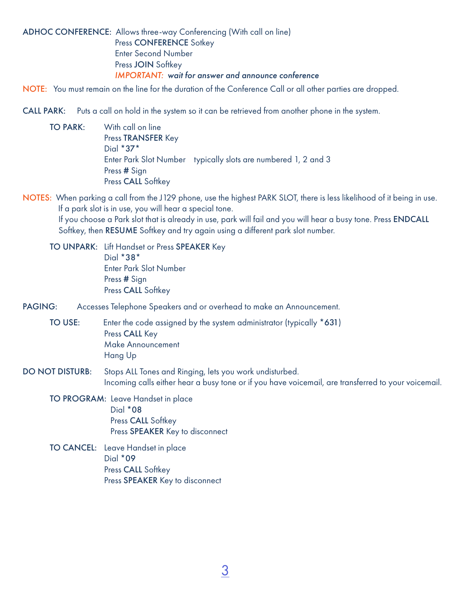## ADHOC CONFERENCE: Allows three-way Conferencing (With call on line) Press CONFERENCE Sotkey Enter Second Number Press **JOIN** Softkey *IMPORTANT: wait for answer and announce conference*

NOTE: You must remain on the line for the duration of the Conference Call or all other parties are dropped.

CALL PARK: Puts a call on hold in the system so it can be retrieved from another phone in the system.

- TO PARK: With call on line Press TRANSFER Key Dial \*37\* Enter Park Slot Number typically slots are numbered 1, 2 and 3 Press # Sign Press CALL Softkey
- NOTES: When parking a call from the J129 phone, use the highest PARK SLOT, there is less likelihood of it being in use. If a park slot is in use, you will hear a special tone. If you choose a Park slot that is already in use, park will fail and you will hear a busy tone. Press ENDCALL Softkey, then RESUME Softkey and try again using a different park slot number.

TO UNPARK: Lift Handset or Press SPEAKER Key Dial \*38\* Enter Park Slot Number Press **#** Sign Press CALL Softkey

PAGING: Accesses Telephone Speakers and or overhead to make an Announcement.

TO USE: Enter the code assigned by the system administrator (typically \*631) Press CALL Key Make Announcement Hang Up

- DO NOT DISTURB: Stops ALL Tones and Ringing, lets you work undisturbed. Incoming calls either hear a busy tone or if you have voicemail, are transferred to your voicemail.
	- TO PROGRAM: Leave Handset in place Dial \*08 Press CALL Softkey Press SPEAKER Key to disconnect
	- TO CANCEL: Leave Handset in place Dial \*09 Press CALL Softkey Press SPEAKER Key to disconnect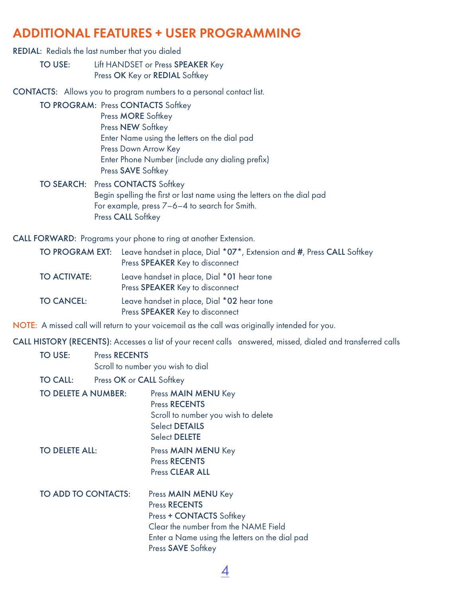# ADDITIONAL FEATURES + USER PROGRAMMING

#### REDIAL: Redials the last number that you dialed

TO USE: Lift HANDSET or Press SPEAKER Key Press OK Key or REDIAL Softkey

CONTACTS: Allows you to program numbers to a personal contact list.

TO PROGRAM: Press CONTACTS Softkey Press MORE Softkey Press NEW Softkey Enter Name using the letters on the dial pad Press Down Arrow Key Enter Phone Number (include any dialing prefix) Press SAVE Softkey

## TO SEARCH: Press CONTACTS Softkey Begin spelling the first or last name using the letters on the dial pad For example, press 7–6–4 to search for Smith. Press CALL Softkey

CALL FORWARD: Programs your phone to ring at another Extension.

|                     | TO PROGRAM EXT: Leave handset in place, Dial *07*, Extension and #, Press CALL Softkey<br>Press SPEAKER Key to disconnect |
|---------------------|---------------------------------------------------------------------------------------------------------------------------|
| <b>TO ACTIVATE:</b> | Leave handset in place, Dial *01 hear tone<br>Press SPEAKER Key to disconnect                                             |
| <b>TO CANCEL:</b>   | Leave handset in place, Dial *02 hear tone<br>Press SPEAKER Key to disconnect                                             |

NOTE: A missed call will return to your voicemail as the call was originally intended for you.

CALL HISTORY (RECENTS): Accesses a list of your recent calls answered, missed, dialed and transferred calls

# TO USE: Press RECENTS

Scroll to number you wish to dial

- TO CALL: Press OK or CALL Softkey
- TO DELETE A NUMBER: Press MAIN MENU Key Press RECENTS Scroll to number you wish to delete Select DETAILS Select DELETE TO DELETE ALL: Press MAIN MENU Key Press RECENTS Press CLEAR ALL TO ADD TO CONTACTS: Press MAIN MENU Key Press RECENTS Press + CONTACTS Softkey Clear the number from the NAME Field

Press **SAVE** Softkey

Enter a Name using the letters on the dial pad

 $\boldsymbol{\varDelta}$